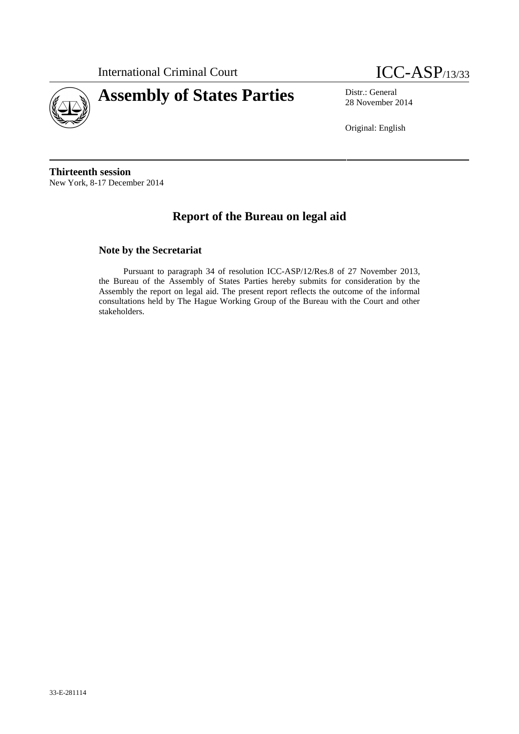



28 November 2014

Original: English

**Thirteenth session** New York, 8-17 December 2014

# **Report of the Bureau on legal aid**

#### **Note by the Secretariat**

Pursuant to paragraph 34 of resolution ICC-ASP/12/Res.8 of 27 November 2013, the Bureau of the Assembly of States Parties hereby submits for consideration by the Assembly the report on legal aid. The present report reflects the outcome of the informal consultations held by The Hague Working Group of the Bureau with the Court and other stakeholders.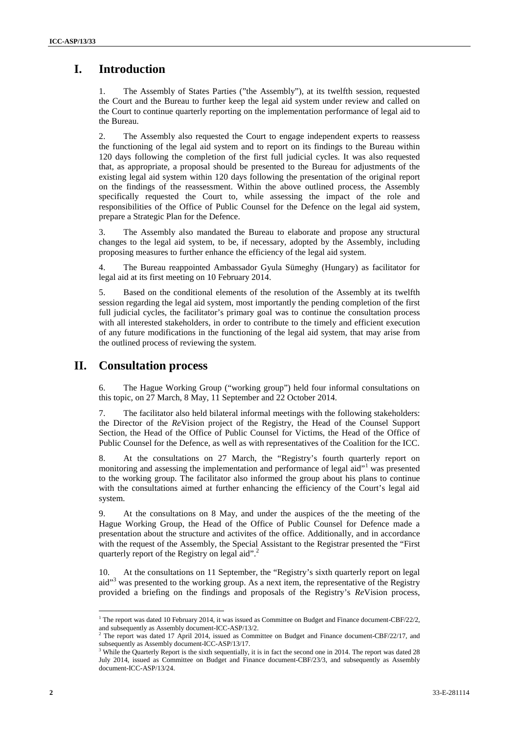# **I. Introduction**

1. The Assembly of States Parties ("the Assembly"), at its twelfth session, requested the Court and the Bureau to further keep the legal aid system under review and called on the Court to continue quarterly reporting on the implementation performance of legal aid to the Bureau.

2. The Assembly also requested the Court to engage independent experts to reassess the functioning of the legal aid system and to report on its findings to the Bureau within 120 days following the completion of the first full judicial cycles. It was also requested that, as appropriate, a proposal should be presented to the Bureau for adjustments of the existing legal aid system within 120 days following the presentation of the original report on the findings of the reassessment. Within the above outlined process, the Assembly specifically requested the Court to, while assessing the impact of the role and responsibilities of the Office of Public Counsel for the Defence on the legal aid system, prepare a Strategic Plan for the Defence.

3. The Assembly also mandated the Bureau to elaborate and propose any structural changes to the legal aid system, to be, if necessary, adopted by the Assembly, including proposing measures to further enhance the efficiency of the legal aid system.

4. The Bureau reappointed Ambassador Gyula Sümeghy (Hungary) as facilitator for legal aid at its first meeting on 10 February 2014.

5. Based on the conditional elements of the resolution of the Assembly at its twelfth session regarding the legal aid system, most importantly the pending completion of the first full judicial cycles, the facilitator's primary goal was to continue the consultation process with all interested stakeholders, in order to contribute to the timely and efficient execution of any future modifications in the functioning of the legal aid system, that may arise from the outlined process of reviewing the system.

### **II. Consultation process**

6. The Hague Working Group ("working group") held four informal consultations on this topic, on 27 March, 8 May, 11 September and 22 October 2014.

7. The facilitator also held bilateral informal meetings with the following stakeholders: the Director of the *Re*Vision project of the Registry, the Head of the Counsel Support Section, the Head of the Office of Public Counsel for Victims, the Head of the Office of Public Counsel for the Defence, as well as with representatives of the Coalition for the ICC.

8. At the consultations on 27 March, the "Registry's fourth quarterly report on monitoring and assessing the implementation and performance of legal aid"<sup>1</sup> was presented to the working group. The facilitator also informed the group about his plans to continue with the consultations aimed at further enhancing the efficiency of the Court's legal aid system.

9. At the consultations on 8 May, and under the auspices of the the meeting of the Hague Working Group, the Head of the Office of Public Counsel for Defence made a presentation about the structure and activites of the office. Additionally, and in accordance with the request of the Assembly, the Special Assistant to the Registrar presented the "First quarterly report of the Registry on legal aid".<sup>2</sup>

10. At the consultations on 11 September, the "Registry's sixth quarterly report on legal aid"<sup>3</sup> was presented to the working group. As a next item, the representative of the Registry provided a briefing on the findings and proposals of the Registry's *Re*Vision process,

 $1$  The report was dated 10 February 2014, it was issued as Committee on Budget and Finance document-CBF/22/2, and subsequently as Assembly document-ICC-ASP/13/2.

<sup>&</sup>lt;sup>2</sup> The report was dated 17 April 2014, issued as Committee on Budget and Finance document-CBF/22/17, and subsequently as Assembly document-ICC-ASP/13/17.

<sup>&</sup>lt;sup>3</sup> While the Quarterly Report is the sixth sequentially, it is in fact the second one in 2014. The report was dated 28 July 2014, issued as Committee on Budget and Finance document-CBF/23/3, and subsequently as Assembly document-ICC-ASP/13/24.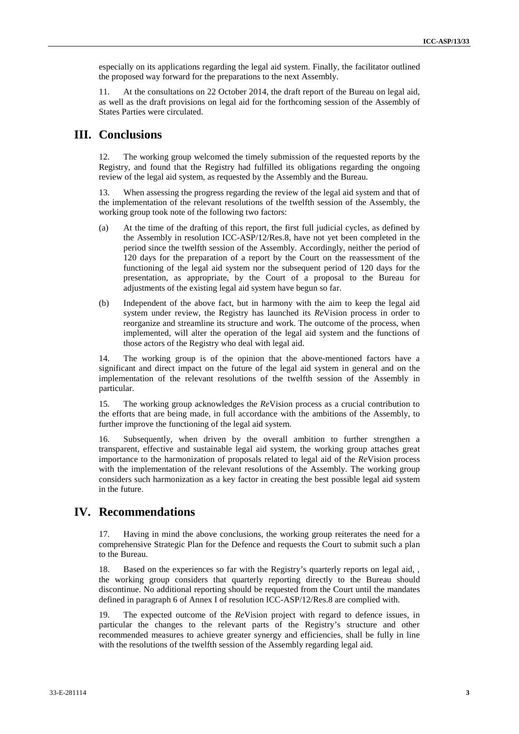especially on its applications regarding the legal aid system. Finally, the facilitator outlined the proposed way forward for the preparations to the next Assembly.

11. At the consultations on 22 October 2014, the draft report of the Bureau on legal aid, as well as the draft provisions on legal aid for the forthcoming session of the Assembly of States Parties were circulated.

#### **III. Conclusions**

12. The working group welcomed the timely submission of the requested reports by the Registry, and found that the Registry had fulfilled its obligations regarding the ongoing review of the legal aid system, as requested by the Assembly and the Bureau.

13. When assessing the progress regarding the review of the legal aid system and that of the implementation of the relevant resolutions of the twelfth session of the Assembly, the working group took note of the following two factors:

- (a) At the time of the drafting of this report, the first full judicial cycles, as defined by the Assembly in resolution ICC-ASP/12/Res.8, have not yet been completed in the period since the twelfth session of the Assembly. Accordingly, neither the period of 120 days for the preparation of a report by the Court on the reassessment of the functioning of the legal aid system nor the subsequent period of 120 days for the presentation, as appropriate, by the Court of a proposal to the Bureau for adjustments of the existing legal aid system have begun so far.
- (b) Independent of the above fact, but in harmony with the aim to keep the legal aid system under review, the Registry has launched its *Re*Vision process in order to reorganize and streamline its structure and work. The outcome of the process, when implemented, will alter the operation of the legal aid system and the functions of those actors of the Registry who deal with legal aid.

14. The working group is of the opinion that the above-mentioned factors have a significant and direct impact on the future of the legal aid system in general and on the implementation of the relevant resolutions of the twelfth session of the Assembly in particular.

15. The working group acknowledges the *Re*Vision process as a crucial contribution to the efforts that are being made, in full accordance with the ambitions of the Assembly, to further improve the functioning of the legal aid system.

16. Subsequently, when driven by the overall ambition to further strengthen a transparent, effective and sustainable legal aid system, the working group attaches great importance to the harmonization of proposals related to legal aid of the *Re*Vision process with the implementation of the relevant resolutions of the Assembly. The working group considers such harmonization as a key factor in creating the best possible legal aid system in the future.

### **IV. Recommendations**

17. Having in mind the above conclusions, the working group reiterates the need for a comprehensive Strategic Plan for the Defence and requests the Court to submit such a plan to the Bureau.

18. Based on the experiences so far with the Registry's quarterly reports on legal aid, , the working group considers that quarterly reporting directly to the Bureau should discontinue. No additional reporting should be requested from the Court until the mandates defined in paragraph 6 of Annex I of resolution ICC-ASP/12/Res.8 are complied with.

19. The expected outcome of the *Re*Vision project with regard to defence issues, in particular the changes to the relevant parts of the Registry's structure and other recommended measures to achieve greater synergy and efficiencies, shall be fully in line with the resolutions of the twelfth session of the Assembly regarding legal aid.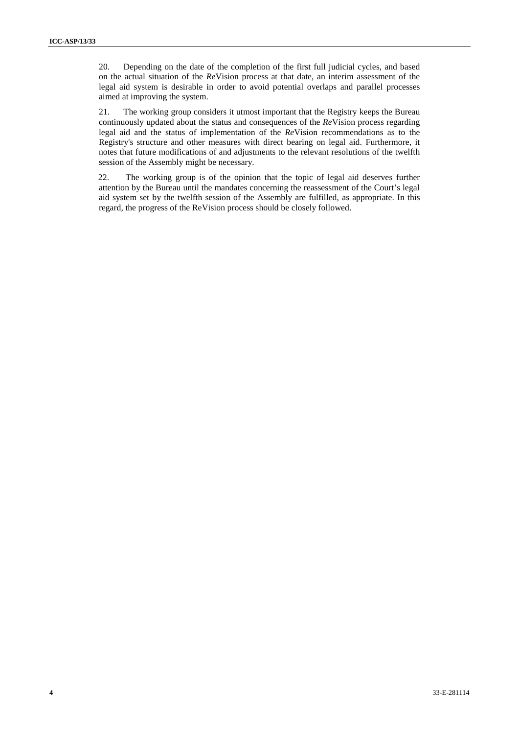20. Depending on the date of the completion of the first full judicial cycles, and based on the actual situation of the *Re*Vision process at that date, an interim assessment of the legal aid system is desirable in order to avoid potential overlaps and parallel processes aimed at improving the system.

21. The working group considers it utmost important that the Registry keeps the Bureau continuously updated about the status and consequences of the *Re*Vision process regarding legal aid and the status of implementation of the *Re*Vision recommendations as to the Registry's structure and other measures with direct bearing on legal aid. Furthermore, it notes that future modifications of and adjustments to the relevant resolutions of the twelfth session of the Assembly might be necessary.

22. The working group is of the opinion that the topic of legal aid deserves further attention by the Bureau until the mandates concerning the reassessment of the Court's legal aid system set by the twelfth session of the Assembly are fulfilled, as appropriate. In this regard, the progress of the ReVision process should be closely followed.